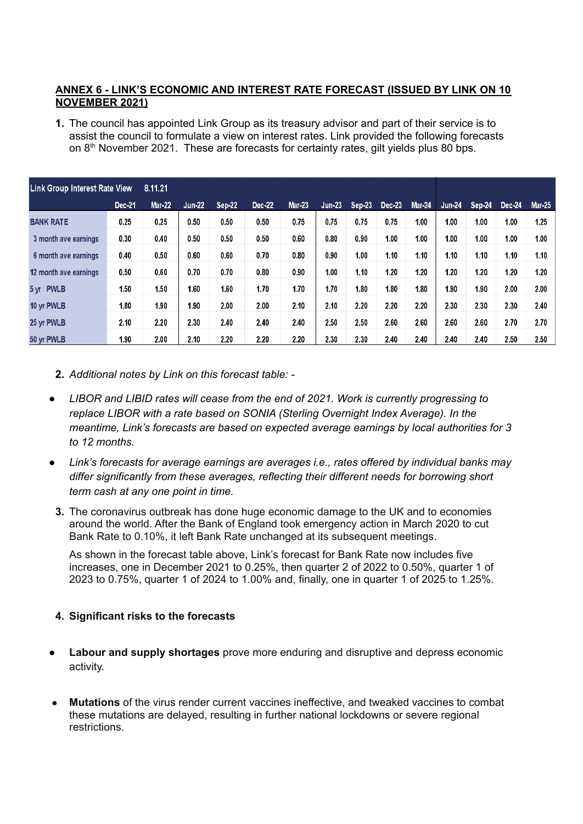# **ANNEX 6 - LINK'S ECONOMIC AND INTEREST RATE FORECAST (ISSUED BY LINK ON 10 NOVEMBER 2021)**

**1.** The council has appointed Link Group as its treasury advisor and part of their service is to assist the council to formulate a view on interest rates. Link provided the following forecasts on 8<sup>th</sup> November 2021. These are forecasts for certainty rates, gilt yields plus 80 bps.

| <b>Link Group Interest Rate View</b> |        | 8.11.21       |          |        |        |        |          |        |        |        |          |        |        |        |
|--------------------------------------|--------|---------------|----------|--------|--------|--------|----------|--------|--------|--------|----------|--------|--------|--------|
|                                      | Dec-21 | <b>Mar-22</b> | $Jun-22$ | Sep-22 | Dec-22 | Mar-23 | $Jun-23$ | Sep-23 | Dec-23 | Mar-24 | $Jun-24$ | Sep-24 | Dec-24 | Mar-25 |
| <b>BANK RATE</b>                     | 0.25   | 0.25          | 0.50     | 0.50   | 0.50   | 0.75   | 0.75     | 0.75   | 0.75   | 1.00   | 1.00     | 1.00   | 1.00   | 1.25   |
| 3 month ave earnings                 | 0.30   | 0.40          | 0.50     | 0.50   | 0.50   | 0.60   | 0.80     | 0.90   | 1.00   | 1.00   | 1.00     | 1.00   | 1.00   | 1.00   |
| 6 month ave earnings                 | 0.40   | 0.50          | 0.60     | 0.60   | 0.70   | 0.80   | 0.90     | 1.00   | 1.10   | 1.10   | 1.10     | 1.10   | 1.10   | 1.10   |
| 12 month ave earnings                | 0.50   | 0.60          | 0.70     | 0.70   | 0.80   | 0.90   | 1.00     | 1.10   | 1.20   | 1.20   | 1.20     | 1.20   | 1.20   | 1.20   |
| 5 yr PWLB                            | 1.50   | 1.50          | 1.60     | 1.60   | 1.70   | 1.70   | 1.70     | 1.80   | 1.80   | 1.80   | 1.90     | 1.90   | 2.00   | 2.00   |
| 10 yr PWLB                           | 1.80   | 1.90          | 1.90     | 2.00   | 2.00   | 2.10   | 2.10     | 2.20   | 2.20   | 2.20   | 2.30     | 2.30   | 2.30   | 2.40   |
| 25 yr PWLB                           | 2.10   | 2.20          | 2.30     | 2.40   | 2.40   | 2.40   | 2.50     | 2.50   | 2.60   | 2.60   | 2.60     | 2.60   | 2.70   | 2.70   |
| 50 yr PWLB                           | 1.90   | 2.00          | 2.10     | 2.20   | 2.20   | 2.20   | 2.30     | 2.30   | 2.40   | 2.40   | 2.40     | 2.40   | 2.50   | 2.50   |

- **2.** *Additional notes by Link on this forecast table: -*
- *● LIBOR and LIBID rates will cease from the end of 2021. Work is currently progressing to replace LIBOR with a rate based on SONIA (Sterling Overnight Index Average). In the meantime, Link's forecasts are based on expected average earnings by local authorities for 3 to 12 months.*
- *● Link's forecasts for average earnings are averages i.e., rates offered by individual banks may differ significantly from these averages, reflecting their different needs for borrowing short term cash at any one point in time.*
- **3.** The coronavirus outbreak has done huge economic damage to the UK and to economies around the world. After the Bank of England took emergency action in March 2020 to cut Bank Rate to 0.10%, it left Bank Rate unchanged at its subsequent meetings.

As shown in the forecast table above, Link's forecast for Bank Rate now includes five increases, one in December 2021 to 0.25%, then quarter 2 of 2022 to 0.50%, quarter 1 of 2023 to 0.75%, quarter 1 of 2024 to 1.00% and, finally, one in quarter 1 of 2025 to 1.25%.

# **4. Significant risks to the forecasts**

- **Labour and supply shortages** prove more enduring and disruptive and depress economic activity.
- **Mutations** of the virus render current vaccines ineffective, and tweaked vaccines to combat these mutations are delayed, resulting in further national lockdowns or severe regional restrictions.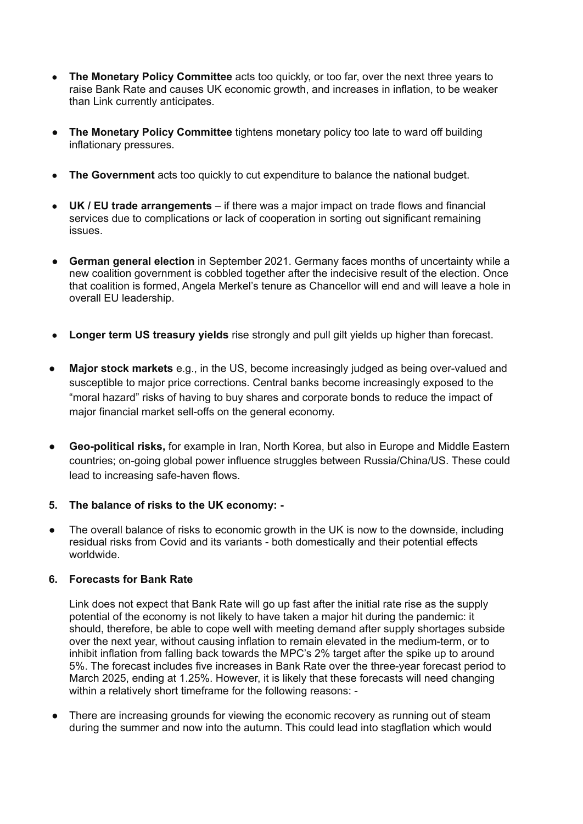- **The Monetary Policy Committee** acts too quickly, or too far, over the next three years to raise Bank Rate and causes UK economic growth, and increases in inflation, to be weaker than Link currently anticipates.
- **● The Monetary Policy Committee** tightens monetary policy too late to ward off building inflationary pressures.
- **The Government** acts too quickly to cut expenditure to balance the national budget.
- **UK** / **EU** trade arrangements if there was a major impact on trade flows and financial services due to complications or lack of cooperation in sorting out significant remaining issues.
- **German general election** in September 2021. Germany faces months of uncertainty while a new coalition government is cobbled together after the indecisive result of the election. Once that coalition is formed, Angela Merkel's tenure as Chancellor will end and will leave a hole in overall EU leadership.
- **Longer term US treasury yields** rise strongly and pull gilt yields up higher than forecast.
- **Major stock markets** e.g., in the US, become increasingly judged as being over-valued and susceptible to major price corrections. Central banks become increasingly exposed to the "moral hazard" risks of having to buy shares and corporate bonds to reduce the impact of major financial market sell-offs on the general economy.
- **Geo-political risks,** for example in Iran, North Korea, but also in Europe and Middle Eastern countries; on-going global power influence struggles between Russia/China/US. These could lead to increasing safe-haven flows.
- **5. The balance of risks to the UK economy: -**
- The overall balance of risks to economic growth in the UK is now to the downside, including residual risks from Covid and its variants - both domestically and their potential effects worldwide.

# **6. Forecasts for Bank Rate**

Link does not expect that Bank Rate will go up fast after the initial rate rise as the supply potential of the economy is not likely to have taken a major hit during the pandemic: it should, therefore, be able to cope well with meeting demand after supply shortages subside over the next year, without causing inflation to remain elevated in the medium-term, or to inhibit inflation from falling back towards the MPC's 2% target after the spike up to around 5%. The forecast includes five increases in Bank Rate over the three-year forecast period to March 2025, ending at 1.25%. However, it is likely that these forecasts will need changing within a relatively short timeframe for the following reasons: -

• There are increasing grounds for viewing the economic recovery as running out of steam during the summer and now into the autumn. This could lead into stagflation which would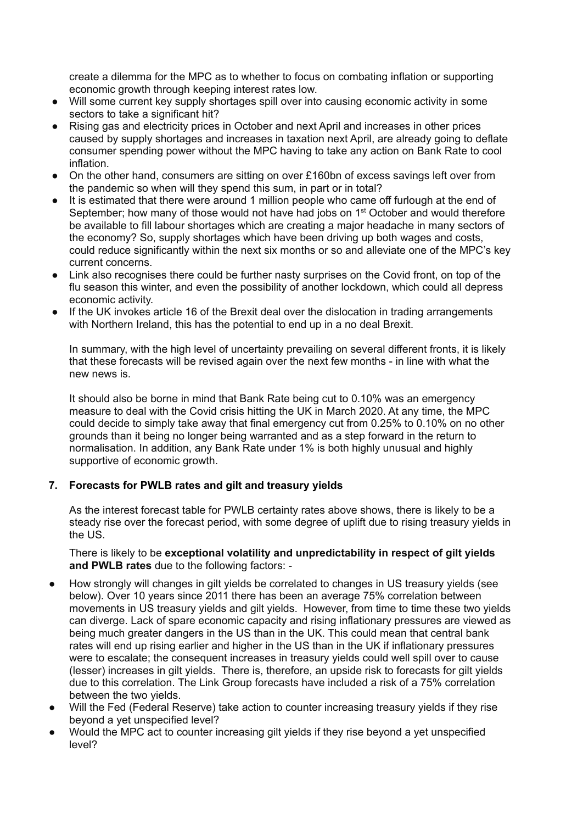create a dilemma for the MPC as to whether to focus on combating inflation or supporting economic growth through keeping interest rates low.

- Will some current key supply shortages spill over into causing economic activity in some sectors to take a significant hit?
- Rising gas and electricity prices in October and next April and increases in other prices caused by supply shortages and increases in taxation next April, are already going to deflate consumer spending power without the MPC having to take any action on Bank Rate to cool inflation.
- On the other hand, consumers are sitting on over £160bn of excess savings left over from the pandemic so when will they spend this sum, in part or in total?
- It is estimated that there were around 1 million people who came off furlough at the end of September; how many of those would not have had jobs on 1<sup>st</sup> October and would therefore be available to fill labour shortages which are creating a major headache in many sectors of the economy? So, supply shortages which have been driving up both wages and costs, could reduce significantly within the next six months or so and alleviate one of the MPC's key current concerns.
- Link also recognises there could be further nasty surprises on the Covid front, on top of the flu season this winter, and even the possibility of another lockdown, which could all depress economic activity.
- If the UK invokes article 16 of the Brexit deal over the dislocation in trading arrangements with Northern Ireland, this has the potential to end up in a no deal Brexit.

In summary, with the high level of uncertainty prevailing on several different fronts, it is likely that these forecasts will be revised again over the next few months - in line with what the new news is.

It should also be borne in mind that Bank Rate being cut to 0.10% was an emergency measure to deal with the Covid crisis hitting the UK in March 2020. At any time, the MPC could decide to simply take away that final emergency cut from 0.25% to 0.10% on no other grounds than it being no longer being warranted and as a step forward in the return to normalisation. In addition, any Bank Rate under 1% is both highly unusual and highly supportive of economic growth.

# **7. Forecasts for PWLB rates and gilt and treasury yields**

As the interest forecast table for PWLB certainty rates above shows, there is likely to be a steady rise over the forecast period, with some degree of uplift due to rising treasury yields in the US.

There is likely to be **exceptional volatility and unpredictability in respect of gilt yields and PWLB rates** due to the following factors: -

- How strongly will changes in gilt yields be correlated to changes in US treasury yields (see below). Over 10 years since 2011 there has been an average 75% correlation between movements in US treasury yields and gilt yields. However, from time to time these two yields can diverge. Lack of spare economic capacity and rising inflationary pressures are viewed as being much greater dangers in the US than in the UK. This could mean that central bank rates will end up rising earlier and higher in the US than in the UK if inflationary pressures were to escalate; the consequent increases in treasury yields could well spill over to cause (lesser) increases in gilt yields. There is, therefore, an upside risk to forecasts for gilt yields due to this correlation. The Link Group forecasts have included a risk of a 75% correlation between the two yields.
- Will the Fed (Federal Reserve) take action to counter increasing treasury yields if they rise beyond a yet unspecified level?
- Would the MPC act to counter increasing gilt yields if they rise beyond a yet unspecified level?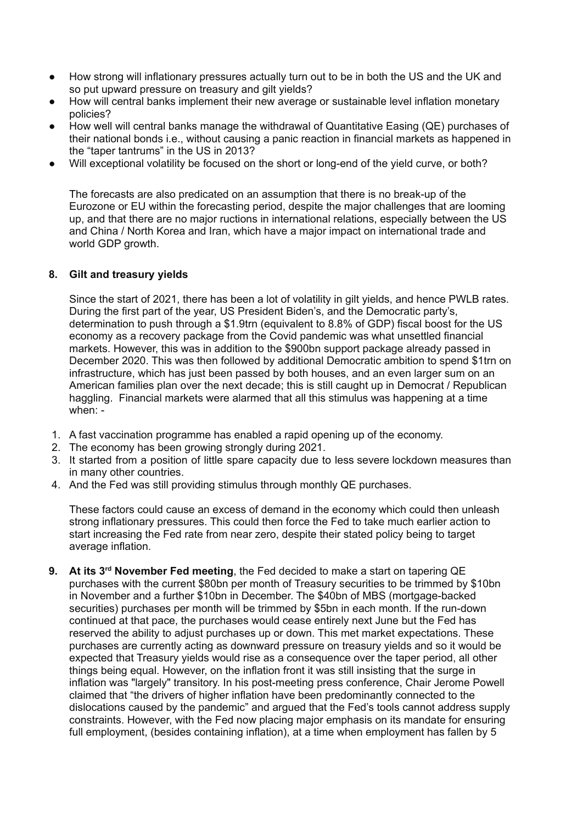- How strong will inflationary pressures actually turn out to be in both the US and the UK and so put upward pressure on treasury and gilt yields?
- How will central banks implement their new average or sustainable level inflation monetary policies?
- How well will central banks manage the withdrawal of Quantitative Easing (QE) purchases of their national bonds i.e., without causing a panic reaction in financial markets as happened in the "taper tantrums" in the US in 2013?
- Will exceptional volatility be focused on the short or long-end of the yield curve, or both?

The forecasts are also predicated on an assumption that there is no break-up of the Eurozone or EU within the forecasting period, despite the major challenges that are looming up, and that there are no major ructions in international relations, especially between the US and China / North Korea and Iran, which have a major impact on international trade and world GDP growth.

#### **8. Gilt and treasury yields**

Since the start of 2021, there has been a lot of volatility in gilt yields, and hence PWLB rates. During the first part of the year, US President Biden's, and the Democratic party's, determination to push through a \$1.9trn (equivalent to 8.8% of GDP) fiscal boost for the US economy as a recovery package from the Covid pandemic was what unsettled financial markets. However, this was in addition to the \$900bn support package already passed in December 2020. This was then followed by additional Democratic ambition to spend \$1trn on infrastructure, which has just been passed by both houses, and an even larger sum on an American families plan over the next decade; this is still caught up in Democrat / Republican haggling. Financial markets were alarmed that all this stimulus was happening at a time when: -

- 1. A fast vaccination programme has enabled a rapid opening up of the economy.
- 2. The economy has been growing strongly during 2021.
- 3. It started from a position of little spare capacity due to less severe lockdown measures than in many other countries.
- 4. And the Fed was still providing stimulus through monthly QE purchases.

These factors could cause an excess of demand in the economy which could then unleash strong inflationary pressures. This could then force the Fed to take much earlier action to start increasing the Fed rate from near zero, despite their stated policy being to target average inflation.

**9. At its 3 rd November Fed meeting**, the Fed decided to make a start on tapering QE purchases with the current \$80bn per month of Treasury securities to be trimmed by \$10bn in November and a further \$10bn in December. The \$40bn of MBS (mortgage-backed securities) purchases per month will be trimmed by \$5bn in each month. If the run-down continued at that pace, the purchases would cease entirely next June but the Fed has reserved the ability to adjust purchases up or down. This met market expectations. These purchases are currently acting as downward pressure on treasury yields and so it would be expected that Treasury yields would rise as a consequence over the taper period, all other things being equal. However, on the inflation front it was still insisting that the surge in inflation was "largely" transitory. In his post-meeting press conference, Chair Jerome Powell claimed that "the drivers of higher inflation have been predominantly connected to the dislocations caused by the pandemic" and argued that the Fed's tools cannot address supply constraints. However, with the Fed now placing major emphasis on its mandate for ensuring full employment, (besides containing inflation), at a time when employment has fallen by 5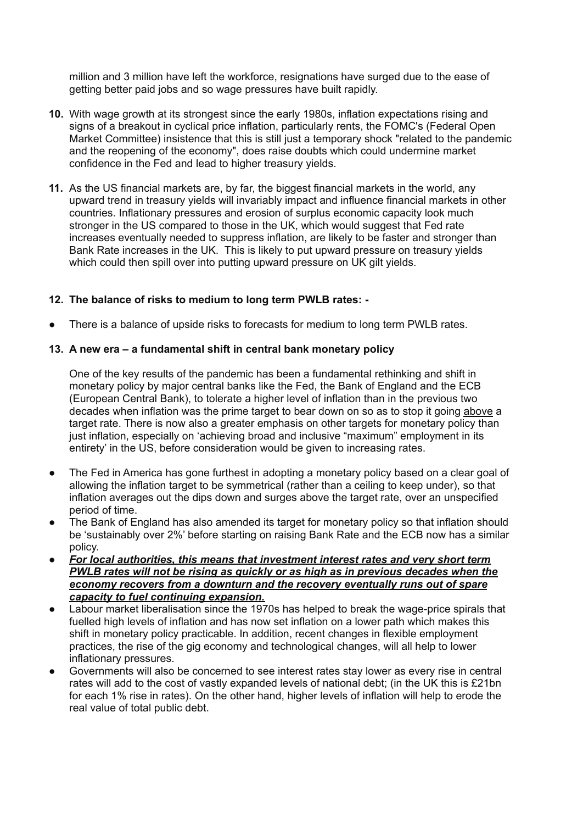million and 3 million have left the workforce, resignations have surged due to the ease of getting better paid jobs and so wage pressures have built rapidly.

- **10.** With wage growth at its strongest since the early 1980s, inflation expectations rising and signs of a breakout in cyclical price inflation, particularly rents, the FOMC's (Federal Open Market Committee) insistence that this is still just a temporary shock "related to the pandemic and the reopening of the economy", does raise doubts which could undermine market confidence in the Fed and lead to higher treasury yields.
- **11.** As the US financial markets are, by far, the biggest financial markets in the world, any upward trend in treasury yields will invariably impact and influence financial markets in other countries. Inflationary pressures and erosion of surplus economic capacity look much stronger in the US compared to those in the UK, which would suggest that Fed rate increases eventually needed to suppress inflation, are likely to be faster and stronger than Bank Rate increases in the UK. This is likely to put upward pressure on treasury yields which could then spill over into putting upward pressure on UK gilt yields.

# **12. The balance of risks to medium to long term PWLB rates: -**

There is a balance of upside risks to forecasts for medium to long term PWLB rates.

#### **13. A new era – a fundamental shift in central bank monetary policy**

One of the key results of the pandemic has been a fundamental rethinking and shift in monetary policy by major central banks like the Fed, the Bank of England and the ECB (European Central Bank), to tolerate a higher level of inflation than in the previous two decades when inflation was the prime target to bear down on so as to stop it going above a target rate. There is now also a greater emphasis on other targets for monetary policy than just inflation, especially on 'achieving broad and inclusive "maximum" employment in its entirety' in the US, before consideration would be given to increasing rates.

- The Fed in America has gone furthest in adopting a monetary policy based on a clear goal of allowing the inflation target to be symmetrical (rather than a ceiling to keep under), so that inflation averages out the dips down and surges above the target rate, over an unspecified period of time.
- The Bank of England has also amended its target for monetary policy so that inflation should be 'sustainably over 2%' before starting on raising Bank Rate and the ECB now has a similar policy.
- *For local authorities, this means that investment interest rates and very short term PWLB rates will not be rising as quickly or as high as in previous decades when the economy recovers from a downturn and the recovery eventually runs out of spare capacity to fuel continuing expansion.*
- Labour market liberalisation since the 1970s has helped to break the wage-price spirals that fuelled high levels of inflation and has now set inflation on a lower path which makes this shift in monetary policy practicable. In addition, recent changes in flexible employment practices, the rise of the gig economy and technological changes, will all help to lower inflationary pressures.
- Governments will also be concerned to see interest rates stay lower as every rise in central rates will add to the cost of vastly expanded levels of national debt; (in the UK this is £21bn for each 1% rise in rates). On the other hand, higher levels of inflation will help to erode the real value of total public debt.